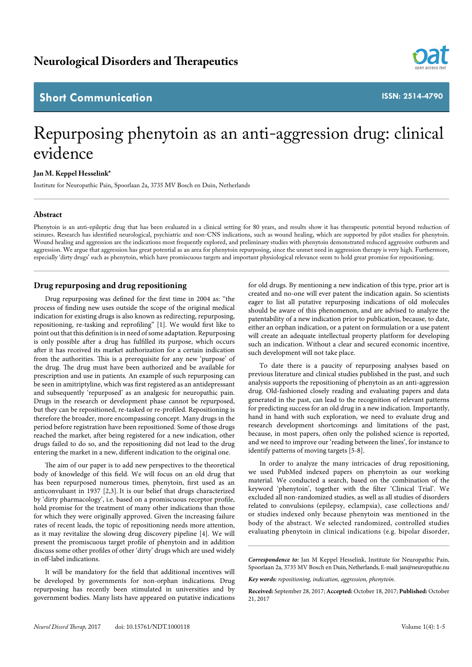# **Short Communication**



**ISSN: 2514-4790**

# Repurposing phenytoin as an anti-aggression drug: clinical evidence

### **Jan M. Keppel Hesselink\***

Institute for Neuropathic Pain, Spoorlaan 2a, 3735 MV Bosch en Duin, Netherlands

### **Abstract**

Phenytoin is an anti-epileptic drug that has been evaluated in a clinical setting for 80 years, and results show it has therapeutic potential beyond reduction of seizures. Research has identified neurological, psychiatric and non-CNS indications, such as wound healing, which are supported by pilot studies for phenytoin. Wound healing and aggression are the indications most frequently explored, and preliminary studies with phenytoin demonstrated reduced aggressive outbursts and aggression. We argue that aggression has great potential as an area for phenytoin repurposing, since the unmet need in aggression therapy is very high. Furthermore, especially 'dirty drugs' such as phenytoin, which have promiscuous targets and important physiological relevance seem to hold great promise for repositioning.

### **Drug repurposing and drug repositioning**

Drug repurposing was defined for the first time in 2004 as: ''the process of finding new uses outside the scope of the original medical indication for existing drugs is also known as redirecting, repurposing, repositioning, re-tasking and reprofiling" [1]. We would first like to point out that this definition is in need of some adaptation. Repurposing is only possible after a drug has fulfilled its purpose, which occurs after it has received its market authorization for a certain indication from the authorities. This is a prerequisite for any new 'purpose' of the drug. The drug must have been authorized and be available for prescription and use in patients. An example of such repurposing can be seen in amitriptyline, which was first registered as an antidepressant and subsequently 'repurposed' as an analgesic for neuropathic pain. Drugs in the research or development phase cannot be repurposed, but they can be repositioned, re-tasked or re-profiled. Repositioning is therefore the broader, more encompassing concept. Many drugs in the period before registration have been repositioned. Some of those drugs reached the market, after being registered for a new indication, other drugs failed to do so, and the repositioning did not lead to the drug entering the market in a new, different indication to the original one.

The aim of our paper is to add new perspectives to the theoretical body of knowledge of this field. We will focus on an old drug that has been repurposed numerous times, phenytoin, first used as an anticonvulsant in 1937 [2,3]. It is our belief that drugs characterized by 'dirty pharmacology', i.e. based on a promiscuous receptor profile, hold promise for the treatment of many other indications than those for which they were originally approved. Given the increasing failure rates of recent leads, the topic of repositioning needs more attention, as it may revitalize the slowing drug discovery pipeline [4]. We will present the promiscuous target profile of phenytoin and in addition discuss some other profiles of other 'dirty' drugs which are used widely in off-label indications.

It will be mandatory for the field that additional incentives will be developed by governments for non-orphan indications. Drug repurposing has recently been stimulated in universities and by government bodies. Many lists have appeared on putative indications

for old drugs. By mentioning a new indication of this type, prior art is created and no-one will ever patent the indication again. So scientists eager to list all putative repurposing indications of old molecules should be aware of this phenomenon, and are advised to analyze the patentability of a new indication prior to publication, because, to date, either an orphan indication, or a patent on formulation or a use patent will create an adequate intellectual property platform for developing such an indication. Without a clear and secured economic incentive, such development will not take place.

To date there is a paucity of repurposing analyses based on previous literature and clinical studies published in the past, and such analysis supports the repositioning of phenytoin as an anti-aggression drug. Old-fashioned closely reading and evaluating papers and data generated in the past, can lead to the recognition of relevant patterns for predicting success for an old drug in a new indication. Importantly, hand in hand with such exploration, we need to evaluate drug and research development shortcomings and limitations of the past, because, in most papers, often only the polished science is reported, and we need to improve our 'reading between the lines', for instance to identify patterns of moving targets [5-8].

In order to analyze the many intricacies of drug repositioning, we used PubMed indexed papers on phenytoin as our working material. We conducted a search, based on the combination of the keyword 'phenytoin', together with the filter 'Clinical Trial'. We excluded all non-randomized studies, as well as all studies of disorders related to convulsions (epilepsy, eclampsia), case collections and/ or studies indexed only because phenytoin was mentioned in the body of the abstract. We selected randomized, controlled studies evaluating phenytoin in clinical indications (e.g. bipolar disorder,

*Correspondence to:* Jan M Keppel Hesselink, Institute for Neuropathic Pain, Spoorlaan 2a, 3735 MV Bosch en Duin, Netherlands, E-mail: jan@neuropathie.nu

*Key words: repositioning, indication, aggression, phenytoin*.

**Received:** September 28, 2017; **Accepted:** October 18, 2017; **Published:** October 21, 2017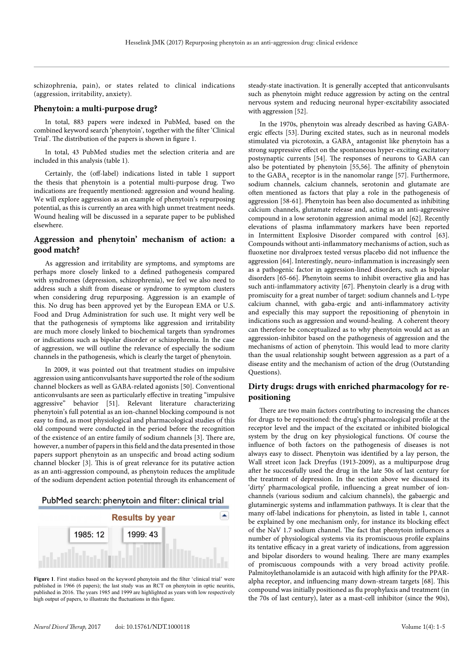schizophrenia, pain), or states related to clinical indications (aggression, irritability, anxiety).

#### **Phenytoin: a multi-purpose drug?**

In total, 883 papers were indexed in PubMed, based on the combined keyword search 'phenytoin', together with the filter 'Clinical Trial'. The distribution of the papers is shown in figure 1.

In total, 43 PubMed studies met the selection criteria and are included in this analysis (table 1).

Certainly, the (off-label) indications listed in table 1 support the thesis that phenytoin is a potential multi-purpose drug. Two indications are frequently mentioned: aggression and wound healing. We will explore aggression as an example of phenytoin's repurposing potential, as this is currently an area with high unmet treatment needs. Wound healing will be discussed in a separate paper to be published elsewhere.

## **Aggression and phenytoin' mechanism of action: a good match?**

As aggression and irritability are symptoms, and symptoms are perhaps more closely linked to a defined pathogenesis compared with syndromes (depression, schizophrenia), we feel we also need to address such a shift from disease or syndrome to symptom clusters when considering drug repurposing. Aggression is an example of this. No drug has been approved yet by the European EMA or U.S. Food and Drug Administration for such use. It might very well be that the pathogenesis of symptoms like aggression and irritability are much more closely linked to biochemical targets than syndromes or indications such as bipolar disorder or schizophrenia. In the case of aggression, we will outline the relevance of especially the sodium channels in the pathogenesis, which is clearly the target of phenytoin.

In 2009, it was pointed out that treatment studies on impulsive aggression using anticonvulsants have supported the role of the sodium channel blockers as well as GABA-related agonists [50]. Conventional anticonvulsants are seen as particularly effective in treating "impulsive aggressive" behavior [51]. Relevant literature characterizing phenytoin's full potential as an ion-channel blocking compound is not easy to find, as most physiological and pharmacological studies of this old compound were conducted in the period before the recognition of the existence of an entire family of sodium channels [3]. There are, however, a number of papers in this field and the data presented in those papers support phenytoin as an unspecific and broad acting sodium channel blocker [3]. This is of great relevance for its putative action as an anti-aggression compound, as phenytoin reduces the amplitude of the sodium dependent action potential through its enhancement of





**Figure 1.** First studies based on the keyword phenytoin and the filter 'clinical trial' were published in 1966 (6 papers); the last study was an RCT on phenytoin in optic neuritis, published in 2016. The years 1985 and 1999 are highlighted as years with low respectively high output of papers, to illustrate the fluctuations in this figure.

steady-state inactivation. It is generally accepted that anticonvulsants such as phenytoin might reduce aggression by acting on the central nervous system and reducing neuronal hyper-excitability associated with aggression [52].

In the 1970s, phenytoin was already described as having GABAergic effects [53]. During excited states, such as in neuronal models stimulated via picrotoxin, a GABA, antagonist like phenytoin has a strong suppressive effect on the spontaneous hyper-exciting excitatory postsynaptic currents [54]. The responses of neurons to GABA can also be potentiated by phenytoin [55,56]. The affinity of phenytoin to the GABA, receptor is in the nanomolar range [57]. Furthermore, sodium channels, calcium channels, serotonin and glutamate are often mentioned as factors that play a role in the pathogenesis of aggression [58-61]. Phenytoin has been also documented as inhibiting calcium channels, glutamate release and, acting as an anti-aggressive compound in a low serotonin aggression animal model [62]. Recently elevations of plasma inflammatory markers have been reported in Intermittent Explosive Disorder compared with control [63]. Compounds without anti-inflammatory mechanisms of action, such as fluoxetine nor divalproex tested versus placebo did not influence the aggression [64]. Interestingly, neuro-inflammation is increasingly seen as a pathogenic factor in aggression-lined disorders, such as bipolar disorders [65-66]. Phenytoin seems to inhibit overactive glia and has such anti-inflammatory activity [67]. Phenytoin clearly is a drug with promiscuity for a great number of target: sodium channels and L-type calcium channel, with gaba-ergic and anti-inflammatory activity and especially this may support the repositioning of phenytoin in indications such as aggression and wound-healing. A coherent theory can therefore be conceptualized as to why phenytoin would act as an aggression-inhibitor based on the pathogenesis of aggression and the mechanisms of action of phenytoin. This would lead to more clarity than the usual relationship sought between aggression as a part of a disease entity and the mechanism of action of the drug (Outstanding Questions).

# **Dirty drugs: drugs with enriched pharmacology for repositioning**

There are two main factors contributing to increasing the chances for drugs to be repositioned: the drug's pharmacological profile at the receptor level and the impact of the excitated or inhibited biological system by the drug on key physiological functions. Of course the influence of both factors on the pathogenesis of diseases is not always easy to dissect. Phenytoin was identified by a lay person, the Wall street icon Jack Dreyfus (1913-2009), as a multipurpose drug after he successfully used the drug in the late 50s of last century for the treatment of depression. In the section above we discussed its 'dirty' pharmacological profile, influencing a great number of ionchannels (various sodium and calcium channels), the gabaergic and glutaminergic systems and inflammation pathways. It is clear that the many off-label indications for phenytoin, as listed in table 1, cannot be explained by one mechanism only, for instance its blocking effect of the NaV 1.7 sodium channel. The fact that phenytoin influences a number of physiological systems via its promiscuous profile explains its tentative efficacy in a great variety of indications, from aggression and bipolar disorders to wound healing. There are many examples of promiscuous compounds with a very broad activity profile. Palmitoylethanolamide is an autacoid with high affinity for the PPARalpha receptor, and influencing many down-stream targets [68]. This compound was initially positioned as flu prophylaxis and treatment (in the 70s of last century), later as a mast-cell inhibitor (since the 90s),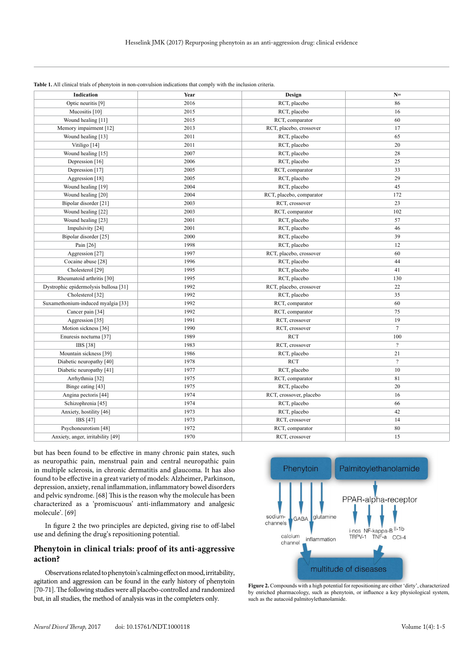| <b>Indication</b>                     | Year | Design                   | $N=$                     |
|---------------------------------------|------|--------------------------|--------------------------|
| Optic neuritis [9]                    | 2016 | RCT, placebo             | 86                       |
| Mucositis [10]                        | 2015 | RCT, placebo             | 16                       |
| Wound healing [11]                    | 2015 | RCT, comparator          | 60                       |
| Memory impairment [12]                | 2013 | RCT, placebo, crossover  | 17                       |
| Wound healing [13]                    | 2011 | RCT, placebo             | 65                       |
| Vitiligo [14]                         | 2011 | RCT, placebo             | 20                       |
| Wound healing [15]                    | 2007 | RCT, placebo             | 28                       |
| Depression [16]                       | 2006 | RCT, placebo             | 25                       |
| Depression [17]                       | 2005 | RCT, comparator          | 33                       |
| Aggression [18]                       | 2005 | RCT, placebo             | 29                       |
| Wound healing [19]                    | 2004 | RCT, placebo             | 45                       |
| Wound healing [20]                    | 2004 | RCT, placebo, comparator | 172                      |
| Bipolar disorder [21]                 | 2003 | RCT, crossover           | 23                       |
| Wound healing [22]                    | 2003 | RCT, comparator          | 102                      |
| Wound healing [23]                    | 2001 | RCT, placebo             | 57                       |
| Impulsivity [24]                      | 2001 | RCT, placebo             | 46                       |
| Bipolar disorder [25]                 | 2000 | RCT, placebo             | 39                       |
| Pain [26]                             | 1998 | RCT, placebo             | 12                       |
| Aggression [27]                       | 1997 | RCT, placebo, crossover  | 60                       |
| Cocaine abuse [28]                    | 1996 | RCT, placebo             | 44                       |
| Cholesterol <sup>[29]</sup>           | 1995 | RCT, placebo             | 41                       |
| Rheumatoid arthritis [30]             | 1995 | RCT, placebo             | 130                      |
| Dystrophic epidermolysis bullosa [31] | 1992 | RCT, placebo, crossover  | 22                       |
| Cholesterol <sup>[32]</sup>           | 1992 | RCT, placebo             | 35                       |
| Suxamethonium-induced myalgia [33]    | 1992 | RCT, comparator          | 60                       |
| Cancer pain [34]                      | 1992 | RCT, comparator          | 75                       |
| Aggression [35]                       | 1991 | RCT, crossover           | 19                       |
| Motion sickness [36]                  | 1990 | RCT, crossover           | $\overline{7}$           |
| Enuresis nocturna [37]                | 1989 | <b>RCT</b>               | 100                      |
| IBS [38]                              | 1983 | RCT, crossover           | $\overline{?}$           |
| Mountain sickness [39]                | 1986 | RCT, placebo             | 21                       |
| Diabetic neuropathy [40]              | 1978 | <b>RCT</b>               | $\overline{\mathcal{C}}$ |
| Diabetic neuropathy [41]              | 1977 | RCT, placebo             | 10                       |
| Arrhythmia <sup>[32]</sup>            | 1975 | RCT, comparator          | 81                       |
| Binge eating [43]                     | 1975 | RCT, placebo             | 20                       |
| Angina pectoris [44]                  | 1974 | RCT, crossover, placebo  | 16                       |
| Schizophrenia [45]                    | 1974 | RCT, placebo             | 66                       |
| Anxiety, hostility [46]               | 1973 | RCT, placebo             | 42                       |
| IBS [47]                              | 1973 | RCT, crossover           | 14                       |
| Psychoneurotism [48]                  | 1972 | RCT, comparator          | 80                       |
| Anxiety, anger, irritability [49]     | 1970 | RCT, crossover           | 15                       |

| <b>Table 1.</b> All clinical trials of phenytoin in non-convulsion indications that comply with the inclusion criteria. |  |  |  |
|-------------------------------------------------------------------------------------------------------------------------|--|--|--|
|-------------------------------------------------------------------------------------------------------------------------|--|--|--|

but has been found to be effective in many chronic pain states, such as neuropathic pain, menstrual pain and central neuropathic pain in multiple sclerosis, in chronic dermatitis and glaucoma. It has also found to be effective in a great variety of models: Alzheimer, Parkinson, depression, anxiety, renal inflammation, inflammatory bowel disorders and pelvic syndrome. [68] This is the reason why the molecule has been characterized as a 'promiscuous' anti-inflammatory and analgesic molecule'. [69]

In figure 2 the two principles are depicted, giving rise to off-label use and defining the drug's repositioning potential.

# **Phenytoin in clinical trials: proof of its anti-aggressive action?**

Observations related to phenytoin's calming effect on mood, irritability, agitation and aggression can be found in the early history of phenytoin [70-71]. The following studies were all placebo-controlled and randomized but, in all studies, the method of analysis was in the completers only.



**Figure 2.** Compounds with a high potential for repositioning are either 'dirty', characterized by enriched pharmacology, such as phenytoin, or influence a key physiological system, such as the autacoid palmitoylethanolamide.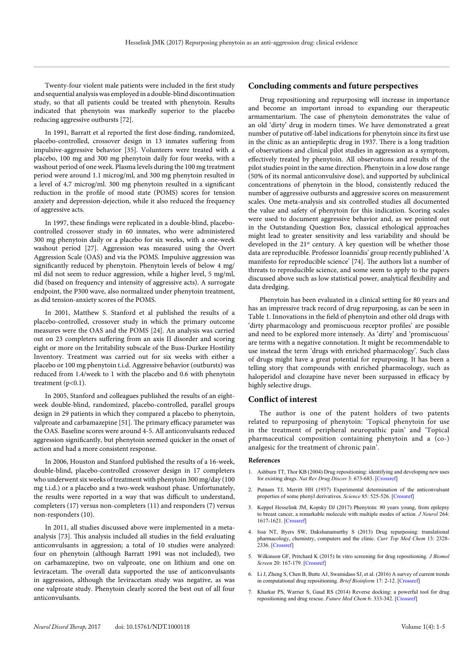Twenty-four violent male patients were included in the first study and sequential analysis was employed in a double-blind discontinuation study, so that all patients could be treated with phenytoin. Results indicated that phenytoin was markedly superior to the placebo reducing aggressive outbursts [72].

In 1991, Barratt et al reported the first dose-finding, randomized, placebo-controlled, crossover design in 13 inmates suffering from impulsive-aggressive behavior [35]. Volunteers were treated with a placebo, 100 mg and 300 mg phenytoin daily for four weeks, with a washout period of one week. Plasma levels during the 100 mg treatment period were around 1.1 microg/ml, and 300 mg phenytoin resulted in a level of 4.7 microg/ml. 300 mg phenytoin resulted in a significant reduction in the profile of mood state (POMS) scores for tension anxiety and depression-dejection, while it also reduced the frequency of aggressive acts.

In 1997, these findings were replicated in a double-blind, placebocontrolled crossover study in 60 inmates, who were administered 300 mg phenytoin daily or a placebo for six weeks, with a one-week washout period [27]. Aggression was measured using the Overt Aggression Scale (OAS) and via the POMS. Impulsive aggression was significantly reduced by phenytoin. Phenytoin levels of below 4 mg/ ml did not seem to reduce aggression, while a higher level, 5 mg/ml, did (based on frequency and intensity of aggressive acts). A surrogate endpoint, the P300 wave, also normalized under phenytoin treatment, as did tension-anxiety scores of the POMS.

In 2001, Matthew S. Stanford et al published the results of a placebo-controlled, crossover study in which the primary outcome measures were the OAS and the POMS [24]. An analysis was carried out on 23 completers suffering from an axis II disorder and scoring eight or more on the Irritability subscale of the Buss-Durkee Hostility Inventory. Treatment was carried out for six weeks with either a placebo or 100 mg phenytoin t.i.d. Aggressive behavior (outbursts) was reduced from 1.4/week to 1 with the placebo and 0.6 with phenytoin treatment  $(p<0.1)$ .

In 2005, Stanford and colleagues published the results of an eightweek double-blind, randomized, placebo-controlled, parallel groups design in 29 patients in which they compared a placebo to phenytoin, valproate and carbamazepine [51]. The primary efficacy parameter was the OAS. Baseline scores were around 4-5. All anticonvulsants reduced aggression significantly, but phenytoin seemed quicker in the onset of action and had a more consistent response.

In 2006, Houston and Stanford published the results of a 16-week, double-blind, placebo-controlled crossover design in 17 completers who underwent six weeks of treatment with phenytoin 300 mg/day (100 mg t.i.d.) or a placebo and a two-week washout phase. Unfortunately, the results were reported in a way that was difficult to understand, completers (17) versus non-completers (11) and responders (7) versus non-responders (10).

In 2011, all studies discussed above were implemented in a metaanalysis [73]. This analysis included all studies in the field evaluating anticonvulsants in aggression; a total of 10 studies were analyzed: four on phenytoin (although Barratt 1991 was not included), two on carbamazepine, two on valproate, one on lithium and one on leviracetam. The overall data supported the use of anticonvulsants in aggression, although the leviracetam study was negative, as was one valproate study. Phenytoin clearly scored the best out of all four anticonvulsants.

#### **Concluding comments and future perspectives**

Drug repositioning and repurposing will increase in importance and become an important inroad to expanding our therapeutic armamentarium. The case of phenytoin demonstrates the value of an old 'dirty' drug in modern times. We have demonstrated a great number of putative off-label indications for phenytoin since its first use in the clinic as an antiepileptic drug in 1937. There is a long tradition of observations and clinical pilot studies in aggression as a symptom, effectively treated by phenytoin. All observations and results of the pilot studies point in the same direction. Phenytoin in a low dose range (50% of its normal anticonvulsive dose), and supported by subclinical concentrations of phenytoin in the blood, consistently reduced the number of aggressive outbursts and aggressive scores on measurement scales. One meta-analysis and six controlled studies all documented the value and safety of phenytoin for this indication. Scoring scales were used to document aggressive behavior and, as we pointed out in the Outstanding Question Box, classical ethological approaches might lead to greater sensitivity and less variability and should be developed in the 21<sup>st</sup> century. A key question will be whether those data are reproducible. Professor Ioannidis' group recently published 'A manifesto for reproducible science' [74]. The authors list a number of threats to reproducible science, and some seem to apply to the papers discussed above such as low statistical power, analytical flexibility and data dredging.

Phenytoin has been evaluated in a clinical setting for 80 years and has an impressive track record of drug repurposing, as can be seen in Table 1. Innovations in the field of phenytoin and other old drugs with 'dirty pharmacology and promiscuous receptor profiles' are possible and need to be explored more intensely. As 'dirty' and 'promiscuous' are terms with a negative connotation. It might be recommendable to use instead the term 'drugs with enriched pharmacology'. Such class of drugs might have a great potential for repurposing. It has been a telling story that compounds with enriched pharmacology, such as haloperidol and clozapine have never been surpassed in efficacy by highly selective drugs.

#### **Conflict of interest**

The author is one of the patent holders of two patents related to repurposing of phenytoin: 'Topical phenytoin for use in the treatment of peripheral neuropathic pain' and 'Topical pharmaceutical composition containing phenytoin and a (co-) analgesic for the treatment of chronic pain'.

#### **References**

- 1. Ashburn TT, Thor KB (2004) Drug repositioning: identifying and developing new uses for existing drugs. *Nat Rev Drug Discov* 3: 673-683. [\[Crossref\]](http://www.ncbi.nlm.nih.gov/pubmed/15286734)
- 2. Putnam TJ, Merritt HH (1937) Experimental determination of the anticonvulsant properties of some phenyl derivatives. *Science* 85: 525-526. [\[Crossref\]](https://www.ncbi.nlm.nih.gov/pubmed/17750072)
- 3. Keppel Hesselink JM, Kopsky DJ (2017) Phenytoin: 80 years young, from epilepsy to breast cancer, a remarkable molecule with multiple modes of action. *J Neurol* 264: 1617-1621. [\[Crossref\]](https://www.ncbi.nlm.nih.gov/pubmed/28083647)
- 4. Issa NT, Byers SW, Dakshanamurthy S (2013) Drug repurposing: translational pharmacology, chemistry, computers and the clinic. *Curr Top Med Chem* 13: 2328- 2336. [\[Crossref\]](https://www.ncbi.nlm.nih.gov/pubmed/24059462)
- 5. Wilkinson GF, Pritchard K (2015) In vitro screening for drug repositioning. *J Biomol Screen* 20: 167-179. [\[Crossref\]](http://www.ncbi.nlm.nih.gov/pubmed/25527136)
- 6. Li J, Zheng S, Chen B, Butte AJ, Swamidass SJ, et al. (2016) A survey of current trends in computational drug repositioning. *Brief Bioinform* 17: 2-12. [\[Crossref\]](http://www.ncbi.nlm.nih.gov/pubmed/25832646)
- 7. Kharkar PS, Warrier S, Gaud RS (2014) Reverse docking: a powerful tool for drug repositioning and drug rescue. *Future Med Chem* 6: 333-342. [\[Crossref\]](http://www.ncbi.nlm.nih.gov/pubmed/24575968)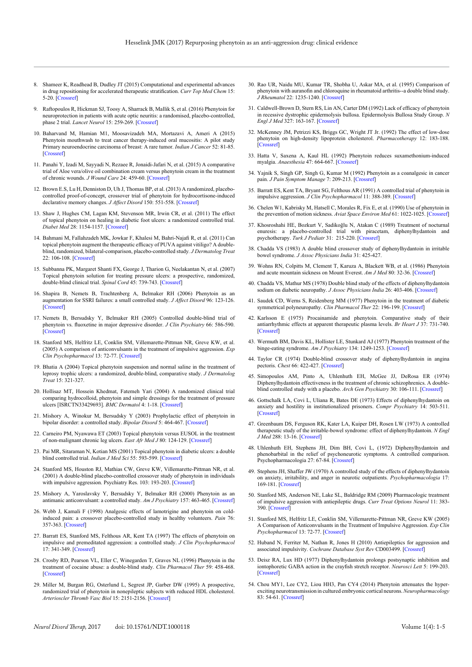- 8. Shameer K, Readhead B, Dudley JT (2015) Computational and experimental advances in drug repositioning for accelerated therapeutic stratification. *Curr Top Med Chem* 15: 5-20. [\[Crossref\]](https://www.ncbi.nlm.nih.gov/pubmed/25579574)
- 9. Raftopoulos R, Hickman SJ, Toosy A, Sharrack B, Mallik S, et al. (2016) Phenytoin for neuroprotection in patients with acute optic neuritis: a randomised, placebo-controlled, phase 2 trial. *Lancet Neurol* 15: 259-269. [\[Crossref\]](http://www.ncbi.nlm.nih.gov/pubmed/26822749)
- 10. Baharvand M, Hamian M1, Moosavizadeh MA, Mortazavi A, Ameri A (2015) Phenytoin mouthwash to treat cancer therapy-induced oral mucositis: A pilot study Primary neuroendocrine carcinoma of breast: A rare tumor. *Indian J Cancer* 52: 81-85. [\[Crossref\]](https://www.ncbi.nlm.nih.gov/pubmed/26837983)
- 11. Panahi Y, Izadi M, Sayyadi N, Rezaee R, Jonaidi-Jafari N, et al. (2015) A comparative trial of Aloe vera/olive oil combination cream versus phenytoin cream in the treatment of chronic wounds. *J Wound Care* 24: 459-60. [\[Crossref\]](https://www.ncbi.nlm.nih.gov/pubmed/26488737)
- 12. Brown E.S, Lu H, Denniston D, Uh J, Thomas BP, et al. (2013) A randomized, placebocontrolled proof-of-concept, crossover trial of phenytoin for hydrocortisone-induced declarative memory changes. *J Affect Disord* 150: 551-558. [\[Crossref\]](https://www.ncbi.nlm.nih.gov/pubmed/23453674)
- 13. Shaw J, Hughes CM, Lagan KM, Stevenson MR, Irwin CR, et al. (2011) The effect of topical phenytoin on healing in diabetic foot ulcers: a randomized controlled trial. *Diabet Med* 28: 1154-1157. [\[Crossref\]](http://www.ncbi.nlm.nih.gov/pubmed/21480976)
- 14. Bahmani M, Fallahzadeh MK, Jowkar F, Khalesi M, Bahri-Najafi R, et al. (2011) Can topical phenytoin augment the therapeutic efficacy of PUVA against vitiligo? A doubleblind, randomized, bilateral-comparison, placebo-controlled study*. J Dermatolog Treat* 22: 106-108. [\[Crossref\]](https://www.ncbi.nlm.nih.gov/pubmed/20443664)
- 15. Subbanna PK, Margaret Shanti FX, George J, Tharion G, Neelakantan N, et al. (2007) Topical phenytoin solution for treating pressure ulcers: a prospective, randomized, double-blind clinical trial. *Spinal Cord* 45: 739-743. [\[Crossref\]](http://www.ncbi.nlm.nih.gov/pubmed/17279096)
- 16. Shapira B, Nemets B, Trachtenberg A, Belmaker RH (2006) Phenytoin as an augmentation for SSRI failures: a small controlled study. *J Affect Disord* 96: 123-126. [\[Crossref\]](http://www.ncbi.nlm.nih.gov/pubmed/16814397)
- 17. Nemets B, Bersudsky Y, Belmaker RH (2005) Controlled double-blind trial of phenytoin vs. fluoxetine in major depressive disorder. *J Clin Psychiatry* 66: 586-590. [\[Crossref\]](http://www.ncbi.nlm.nih.gov/pubmed/15889944)
- 18. Stanford MS, Helfritz LE, Conklin SM, Villemarette-Pittman NR, Greve KW, et al. (2005) A comparison of anticonvulsants in the treatment of impulsive aggression. *Exp Clin Psychopharmacol* 13: 72-77. [\[Crossref\]](http://www.ncbi.nlm.nih.gov/pubmed/15727506)
- 19. Bhatia A (2004) Topical phenytoin suspension and normal saline in the treatment of leprosy trophic ulcers: a randomized, double-blind, comparative study. *J Dermatolog Treat* 15: 321-327.
- 20. Hollisaz MT, Hossein Khedmat, Fatemeh Yari (2004) A randomized clinical trial comparing hydrocolloid, phenytoin and simple dressings for the treatment of pressure ulcers [ISRCTN33429693]. *BMC Dermatol* 4: 1-18. [\[Crossref\]](https://www.ncbi.nlm.nih.gov/pmc/articles/PMC545970/)
- 21. Mishory A, Winokur M, Bersudsky Y (2003) Prophylactic effect of phenytoin in bipolar disorder: a controlled study. *Bipolar Disord* 5: 464-467. [\[Crossref\]](http://www.ncbi.nlm.nih.gov/pubmed/14636372)
- 22. Carneiro PM, Nyawawa ET (2003) Topical phenytoin versus EUSOL in the treatment of non-malignant chronic leg ulcers. *East Afr Med J* 80: 124-129. [\[Crossref\]](http://www.ncbi.nlm.nih.gov/pubmed/12762426)
- 23. Pai MR, Sitaraman N, Kotian MS (2001) Topical phenytoin in diabetic ulcers: a double blind controlled trial. *Indian J Med Sci* 55: 593-599. [\[Crossref\]](http://www.ncbi.nlm.nih.gov/pubmed/12508631)
- 24. Stanford MS, Houston RJ, Mathias CW, Greve KW, Villemarette-Pittman NR, et al. (2001) A double-blind placebo-controlled crossover study of phenytoin in individuals with impulsive aggression. Psychiatry Res. 103: 193-203. [\[Crossref\]](https://www.ncbi.nlm.nih.gov/pubmed/11549407)
- 25. Mishory A, Yaroslavsky Y, Bersudsky Y, Belmaker RH (2000) Phenytoin as an antimanic anticonvulsant: a controlled study. *Am J Psychiatry* 157: 463-465. [\[Crossref\]](http://www.ncbi.nlm.nih.gov/pubmed/10698828)
- 26. Webb J, Kamali F (1998) Analgesic effects of lamotrigine and phenytoin on coldinduced pain: a crossover placebo-controlled study in healthy volunteers. *Pain* 76: 357-363. [\[Crossref\]](https://www.ncbi.nlm.nih.gov/pubmed/9718254)
- 27. Barratt ES, Stanford MS, Felthous AR, Kent TA (1997) The effects of phenytoin on impulsive and premeditated aggression: a controlled study. *J Clin Psychopharmacol*  17: 341-349. [\[Crossref\]](http://www.ncbi.nlm.nih.gov/pubmed/9315984)
- 28. Crosby RD, Pearson VL, Eller C, Winegarden T, Graves NL (1996) Phenytoin in the treatment of cocaine abuse: a double-blind study. *Clin Pharmacol Ther* 59: 458-468. [\[Crossref\]](http://www.ncbi.nlm.nih.gov/pubmed/8612392)
- 29. Miller M, Burgan RG, Osterlund L, Segrest JP, Garber DW (1995) A prospective, randomized trial of phenytoin in nonepileptic subjects with reduced HDL cholesterol. *Arterioscler Thromb Vasc Biol* 15: 2151-2156. [\[Crossref\]](https://www.ncbi.nlm.nih.gov/pubmed/7489236)
- 30. Rao UR, Naidu MU, Kumar TR, Shobha U, Askar MA, et al. (1995) Comparison of phenytoin with auranofin and chloroquine in rheumatoid arthritis--a double blind study. *J Rheumatol* 22: 1235-1240. [\[Crossref\]](http://www.ncbi.nlm.nih.gov/pubmed/7562751)
- 31. Caldwell-Brown D, Stern RS, Lin AN, Carter DM (1992) Lack of efficacy of phenytoin in recessive dystrophic epidermolysis bullosa. Epidermolysis Bullosa Study Group. *N Engl J Med* 327: 163-167. [\[Crossref\]](http://www.ncbi.nlm.nih.gov/pubmed/7562751)
- 32. McKenney JM, Petrizzi KS, Briggs GC, Wright JT Jr. (1992) The effect of low-dose phenytoin on high-density lipoprotein cholesterol. *Pharmacotherapy* 12: 183-188. [\[Crossref\]](https://www.ncbi.nlm.nih.gov/pubmed/1608850)
- 33. Hatta V, Saxena A, Kaul HL (1992) Phenytoin reduces suxamethonium-induced myalgia. *Anaesthesia* 47: 664-667. [\[Crossref\]](https://www.ncbi.nlm.nih.gov/pubmed/1519714)
- 34. Yajnik S, Singh GP, Singh G, Kumar M (1992) Phenytoin as a coanalgesic in cancer pain. *J Pain Symptom Manage* 7: 209-213. [\[Crossref\]](http://www.ncbi.nlm.nih.gov/pubmed/1517643)
- 35. Barratt ES, Kent TA, Bryant SG, Felthous AR (1991) A controlled trial of phenytoin in impulsive aggression. *J Clin Psychopharmacol* 11: 388-389. [\[Crossref\]](http://www.ncbi.nlm.nih.gov/pubmed/1770157)
- 36. Chelen W1, Kabrisky M, Hatsell C, Morales R, Fix E, et al. (1990) Use of phenytoin in the prevention of motion sickness. *Aviat Space Environ Med* 61: 1022-1025. [\[Crossref\]](http://www.ncbi.nlm.nih.gov/pubmed/2256875)
- 37. Khosroshahi HE, Bozkurt V, Sadikoğlu N, Atakan C (1989) Treatment of nocturnal enuresis: a placebo-controlled trial with piracetam, diphenylhydantoin and psychotherapy. *Turk J Pediatr* 31: 215-220. [\[Crossref\]](https://www.ncbi.nlm.nih.gov/pubmed/2485986)
- 38. Chadda VS (1983) A double blind crossover study of diphenylhydantoin in irritable bowel syndrome. *J Assoc Physicians India* 31: 425-427.
- 39. Wohns RN, Colpitts M, Clement T, Karuza A, Blackett WB, et al. (1986) Phenytoin and acute mountain sickness on Mount Everest. *Am J Med* 80: 32-36. [\[Crossref\]](http://www.ncbi.nlm.nih.gov/pubmed/3510539)
- 40. Chadda VS, Mathur MS (1978) Double blind study of the effects of diphenylhydantoin sodium on diabetic neuropathy. *J Assoc Physicians India* 26: 403-406. [\[Crossref\]](https://www.ncbi.nlm.nih.gov/pubmed/365857)
- 41. Saudek CD, Werns S, Reidenberg MM (1977) Phenytoin in the treatment of diabetic symmetrical polyneuropathy. *Clin Pharmacol Ther* 22: 196-199. [\[Crossref\]](http://www.ncbi.nlm.nih.gov/pubmed/328209)
- 42. Karlsson E (1975) Procainamide and phenytoin. Comparative study of their antiarrhythmic effects at apparent therapeutic plasma levels. *Br Heart J* 37: 731-740. [\[Crossref\]](https://www.ncbi.nlm.nih.gov/pmc/articles/PMC482865/)
- 43. Wermuth BM, Davis KL, Hollister LE, Stunkard AJ (1977) Phenytoin treatment of the binge-eating syndrome. *Am J Psychiatry* 134: 1249-1253. [\[Crossref\]](http://www.ncbi.nlm.nih.gov/pubmed/333952)
- 44. Taylor CR (1974) Double-blind crossover study of diphenylhydantoin in angina pectoris. *Chest* 66: 422-427. [\[Crossref\]](http://www.ncbi.nlm.nih.gov/pubmed/4213041)
- 45. Simopoulos AM, Pinto A, Uhlenhuth EH, McGee JJ, DeRosa ER (1974) Diphenylhydantoin effectiveness in the treatment of chronic schizophrenics. A doubleblind controlled study with a placebo. *Arch Gen Psychiatry* 30: 106-111. [\[Crossref\]](https://www.ncbi.nlm.nih.gov/pubmed/4587066)
- 46. Gottschalk LA, Covi L, Uliana R, Bates DE (1973) Effects of diphenylhydantoin on anxiety and hostility in institutionalized prisoners. *Compr Psychiatry* 14: 503-511. [\[Crossref\]](https://www.ncbi.nlm.nih.gov/pubmed/4587507)
- 47. Greenbaum DS, Ferguson RK, Kater LA, Kuiper DH, Rosen LW (1973) A controlled therapeutic study of the irritable-bowel syndrome: effect of diphenylhydantoin. *N Engl J Med* 288: 13-16. [\[Crossref\]](http://www.ncbi.nlm.nih.gov/pubmed/4564720)
- 48. Uhlenhuth EH, Stephens JH, Dim BH, Covi L, (1972) Diphenylhydantoin and phenobarbital in the relief of psychoneurotic symptoms. A controlled comparison. Psychopharmacologia 27: 67-84. [\[Crossref\]](https://www.ncbi.nlm.nih.gov/pubmed/4562952)
- 49. Stephens JH, Shaffer JW (1970) A controlled study of the effects of diphenylhydantoin on anxiety, irritability, and anger in neurotic outpatients. *Psychopharmacologia* 17: 169-181. [\[Crossref\]](https://www.ncbi.nlm.nih.gov/pubmed/4392689)
- 50. Stanford MS, Anderson NE, Lake SL, Baldridge RM (2009) Pharmacologic treatment of impulsive aggression with antiepileptic drugs. *Curr Treat Options Neurol* 11: 383- 390. [\[Crossref\]](https://www.ncbi.nlm.nih.gov/pubmed/19744405)
- 51. Stanford MS, Helfritz LE, Conklin SM, Villemarette-Pittman NR, Greve KW (2005) A Comparison of Anticonvulsants in the Treatment of Impulsive Aggression. *Exp Clin Psychopharmacol* 13: 72-77. [\[Crossref\]](https://www.ncbi.nlm.nih.gov/pubmed/15727506)
- 52. Huband N, Ferriter M, Nathan R, Jones H (2010) Antiepileptics for aggression and associated impulsivity. *Cochrane Database Syst Rev* CD003499. [\[Crossref\]](http://www.ncbi.nlm.nih.gov/pubmed/20166067)
- 53. Deisz RA, Lux HD (1977) Diphenylhydantoin prolongs postsynaptic inhibition and iontophoretic GABA action in the crayfish stretch receptor. *Neurosci Lett* 5: 199-203. [\[Crossref\]](https://www.ncbi.nlm.nih.gov/pubmed/19604994)
- 54. Chou MY1, Lee CY2, Liou HH3, Pan CY4 (2014) Phenytoin attenuates the hyperexciting neurotransmission in cultured embryonic cortical neurons. *Neuropharmacology*  83: 54-61. [\[Crossref\]](http://www.ncbi.nlm.nih.gov/pubmed/24721626)